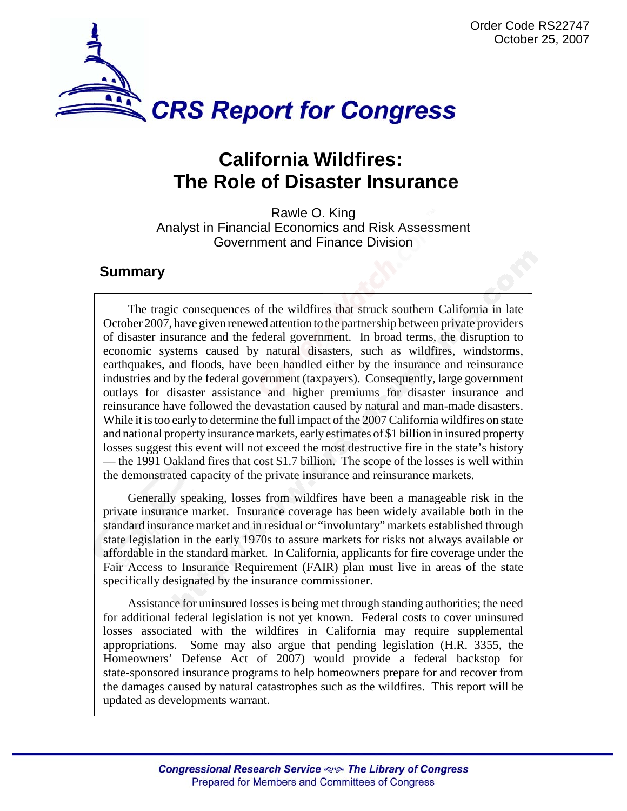

# **California Wildfires: The Role of Disaster Insurance**

Rawle O. King Analyst in Financial Economics and Risk Assessment Government and Finance Division

# **Summary**

The tragic consequences of the wildfires that struck southern California in late October 2007, have given renewed attention to the partnership between private providers of disaster insurance and the federal government. In broad terms, the disruption to economic systems caused by natural disasters, such as wildfires, windstorms, earthquakes, and floods, have been handled either by the insurance and reinsurance industries and by the federal government (taxpayers). Consequently, large government outlays for disaster assistance and higher premiums for disaster insurance and reinsurance have followed the devastation caused by natural and man-made disasters. While it is too early to determine the full impact of the 2007 California wildfires on state and national property insurance markets, early estimates of \$1 billion in insured property losses suggest this event will not exceed the most destructive fire in the state's history — the 1991 Oakland fires that cost \$1.7 billion. The scope of the losses is well within the demonstrated capacity of the private insurance and reinsurance markets.

Generally speaking, losses from wildfires have been a manageable risk in the private insurance market. Insurance coverage has been widely available both in the standard insurance market and in residual or "involuntary" markets established through state legislation in the early 1970s to assure markets for risks not always available or affordable in the standard market. In California, applicants for fire coverage under the Fair Access to Insurance Requirement (FAIR) plan must live in areas of the state specifically designated by the insurance commissioner.

Assistance for uninsured losses is being met through standing authorities; the need for additional federal legislation is not yet known. Federal costs to cover uninsured losses associated with the wildfires in California may require supplemental appropriations. Some may also argue that pending legislation (H.R. 3355, the Homeowners' Defense Act of 2007) would provide a federal backstop for state-sponsored insurance programs to help homeowners prepare for and recover from the damages caused by natural catastrophes such as the wildfires. This report will be updated as developments warrant.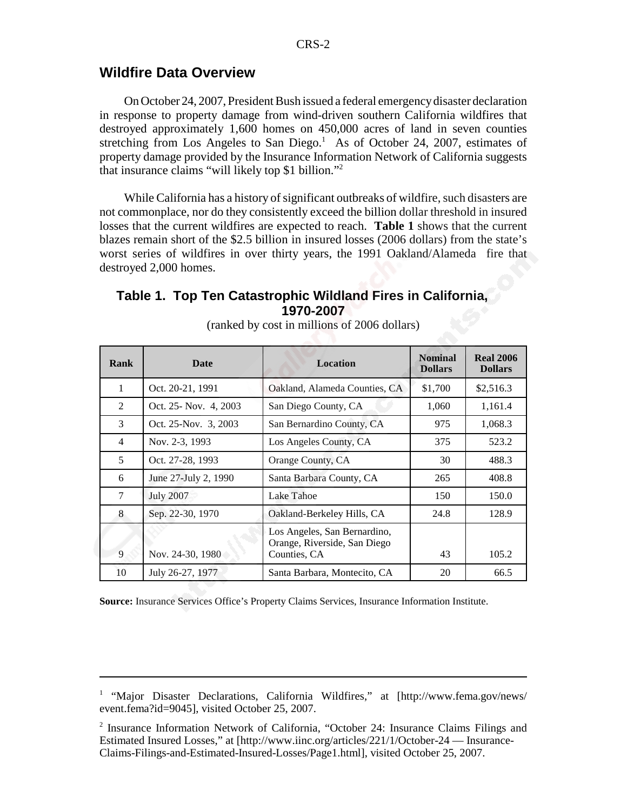### **Wildfire Data Overview**

On October 24, 2007, President Bush issued a federal emergency disaster declaration in response to property damage from wind-driven southern California wildfires that destroyed approximately 1,600 homes on 450,000 acres of land in seven counties stretching from Los Angeles to San Diego.<sup>1</sup> As of October 24, 2007, estimates of property damage provided by the Insurance Information Network of California suggests that insurance claims "will likely top \$1 billion."2

While California has a history of significant outbreaks of wildfire, such disasters are not commonplace, nor do they consistently exceed the billion dollar threshold in insured losses that the current wildfires are expected to reach. **Table 1** shows that the current blazes remain short of the \$2.5 billion in insured losses (2006 dollars) from the state's worst series of wildfires in over thirty years, the 1991 Oakland/Alameda fire that destroyed 2,000 homes.

# **Table 1. Top Ten Catastrophic Wildland Fires in California, 1970-2007**

| <b>Rank</b>    | <b>Date</b>           | <b>Location</b>                                                              | <b>Nominal</b><br><b>Dollars</b> | <b>Real 2006</b><br><b>Dollars</b> |
|----------------|-----------------------|------------------------------------------------------------------------------|----------------------------------|------------------------------------|
| $\mathbf{1}$   | Oct. 20-21, 1991      | Oakland, Alameda Counties, CA                                                | \$1,700                          | \$2,516.3                          |
| $\mathfrak{D}$ | Oct. 25- Nov. 4, 2003 | San Diego County, CA                                                         | 1,060                            | 1,161.4                            |
| $\mathcal{F}$  | Oct. 25-Nov. 3, 2003  | San Bernardino County, CA                                                    | 975                              | 1,068.3                            |
| $\overline{4}$ | Nov. 2-3, 1993        | Los Angeles County, CA                                                       | 375                              | 523.2                              |
| 5              | Oct. 27-28, 1993      | Orange County, CA                                                            | 30                               | 488.3                              |
| 6              | June 27-July 2, 1990  | Santa Barbara County, CA                                                     | 265                              | 408.8                              |
| 7              | <b>July 2007</b>      | Lake Tahoe                                                                   | 150                              | 150.0                              |
| 8              | Sep. 22-30, 1970      | Oakland-Berkeley Hills, CA                                                   | 24.8                             | 128.9                              |
| 9              | Nov. 24-30, 1980      | Los Angeles, San Bernardino,<br>Orange, Riverside, San Diego<br>Counties, CA | 43                               | 105.2                              |
| 10             | July 26-27, 1977      | Santa Barbara, Montecito, CA                                                 | 20                               | 66.5                               |

(ranked by cost in millions of 2006 dollars)

**Source:** Insurance Services Office's Property Claims Services, Insurance Information Institute.

<sup>&</sup>lt;sup>1</sup> "Major Disaster Declarations, California Wildfires," at [http://www.fema.gov/news/ event.fema?id=9045], visited October 25, 2007.

<sup>&</sup>lt;sup>2</sup> Insurance Information Network of California, "October 24: Insurance Claims Filings and Estimated Insured Losses," at [http://www.iinc.org/articles/221/1/October-24 — Insurance-Claims-Filings-and-Estimated-Insured-Losses/Page1.html], visited October 25, 2007.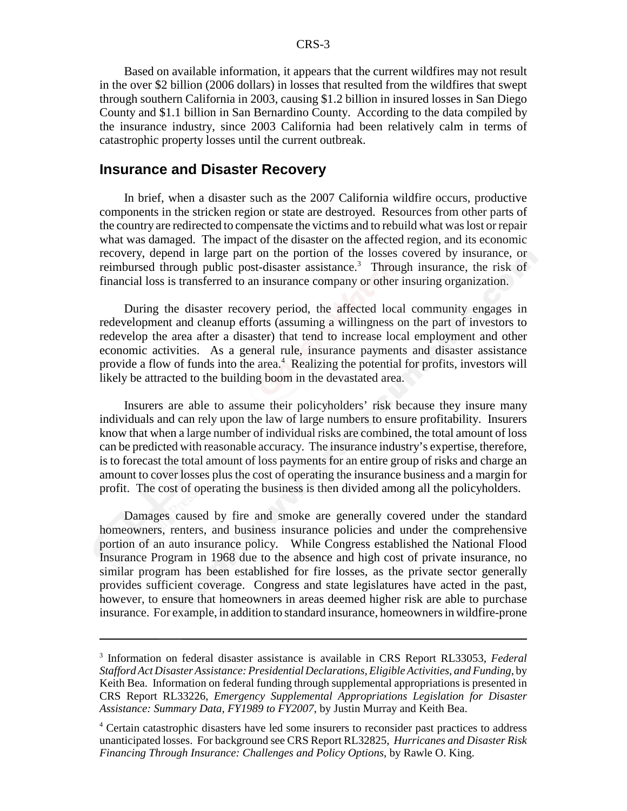Based on available information, it appears that the current wildfires may not result in the over \$2 billion (2006 dollars) in losses that resulted from the wildfires that swept through southern California in 2003, causing \$1.2 billion in insured losses in San Diego County and \$1.1 billion in San Bernardino County. According to the data compiled by the insurance industry, since 2003 California had been relatively calm in terms of catastrophic property losses until the current outbreak.

#### **Insurance and Disaster Recovery**

In brief, when a disaster such as the 2007 California wildfire occurs, productive components in the stricken region or state are destroyed. Resources from other parts of the country are redirected to compensate the victims and to rebuild what was lost or repair what was damaged. The impact of the disaster on the affected region, and its economic recovery, depend in large part on the portion of the losses covered by insurance, or reimbursed through public post-disaster assistance.<sup>3</sup> Through insurance, the risk of financial loss is transferred to an insurance company or other insuring organization.

During the disaster recovery period, the affected local community engages in redevelopment and cleanup efforts (assuming a willingness on the part of investors to redevelop the area after a disaster) that tend to increase local employment and other economic activities. As a general rule, insurance payments and disaster assistance provide a flow of funds into the area.<sup>4</sup> Realizing the potential for profits, investors will likely be attracted to the building boom in the devastated area.

Insurers are able to assume their policyholders' risk because they insure many individuals and can rely upon the law of large numbers to ensure profitability. Insurers know that when a large number of individual risks are combined, the total amount of loss can be predicted with reasonable accuracy. The insurance industry's expertise, therefore, is to forecast the total amount of loss payments for an entire group of risks and charge an amount to cover losses plus the cost of operating the insurance business and a margin for profit. The cost of operating the business is then divided among all the policyholders.

Damages caused by fire and smoke are generally covered under the standard homeowners, renters, and business insurance policies and under the comprehensive portion of an auto insurance policy. While Congress established the National Flood Insurance Program in 1968 due to the absence and high cost of private insurance, no similar program has been established for fire losses, as the private sector generally provides sufficient coverage. Congress and state legislatures have acted in the past, however, to ensure that homeowners in areas deemed higher risk are able to purchase insurance. For example, in addition to standard insurance, homeowners in wildfire-prone

<sup>3</sup> Information on federal disaster assistance is available in CRS Report RL33053, *Federal Stafford Act Disaster Assistance: Presidential Declarations, Eligible Activities, and Funding*, by Keith Bea. Information on federal funding through supplemental appropriations is presented in CRS Report RL33226, *Emergency Supplemental Appropriations Legislation for Disaster Assistance: Summary Data, FY1989 to FY2007*, by Justin Murray and Keith Bea.

<sup>&</sup>lt;sup>4</sup> Certain catastrophic disasters have led some insurers to reconsider past practices to address unanticipated losses. For background see CRS Report RL32825, *Hurricanes and Disaster Risk Financing Through Insurance: Challenges and Policy Options*, by Rawle O. King.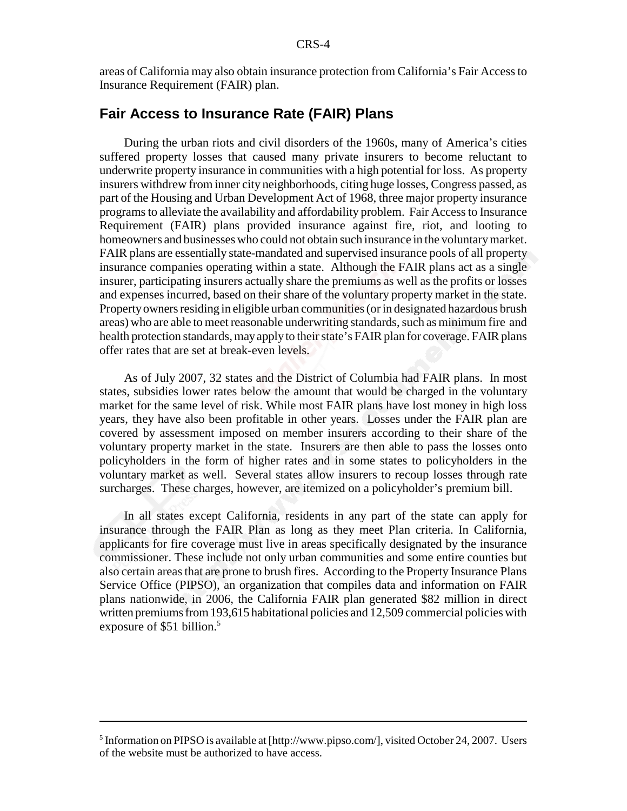areas of California may also obtain insurance protection from California's Fair Access to Insurance Requirement (FAIR) plan.

## **Fair Access to Insurance Rate (FAIR) Plans**

During the urban riots and civil disorders of the 1960s, many of America's cities suffered property losses that caused many private insurers to become reluctant to underwrite property insurance in communities with a high potential for loss. As property insurers withdrew from inner city neighborhoods, citing huge losses, Congress passed, as part of the Housing and Urban Development Act of 1968, three major property insurance programs to alleviate the availability and affordability problem. Fair Access to Insurance Requirement (FAIR) plans provided insurance against fire, riot, and looting to homeowners and businesses who could not obtain such insurance in the voluntary market. FAIR plans are essentially state-mandated and supervised insurance pools of all property insurance companies operating within a state. Although the FAIR plans act as a single insurer, participating insurers actually share the premiums as well as the profits or losses and expenses incurred, based on their share of the voluntary property market in the state. Property owners residing in eligible urban communities (or in designated hazardous brush areas) who are able to meet reasonable underwriting standards, such as minimum fire and health protection standards, may apply to their state's FAIR plan for coverage. FAIR plans offer rates that are set at break-even levels.

As of July 2007, 32 states and the District of Columbia had FAIR plans. In most states, subsidies lower rates below the amount that would be charged in the voluntary market for the same level of risk. While most FAIR plans have lost money in high loss years, they have also been profitable in other years. Losses under the FAIR plan are covered by assessment imposed on member insurers according to their share of the voluntary property market in the state. Insurers are then able to pass the losses onto policyholders in the form of higher rates and in some states to policyholders in the voluntary market as well. Several states allow insurers to recoup losses through rate surcharges. These charges, however, are itemized on a policyholder's premium bill.

In all states except California, residents in any part of the state can apply for insurance through the FAIR Plan as long as they meet Plan criteria. In California, applicants for fire coverage must live in areas specifically designated by the insurance commissioner. These include not only urban communities and some entire counties but also certain areas that are prone to brush fires. According to the Property Insurance Plans Service Office (PIPSO), an organization that compiles data and information on FAIR plans nationwide, in 2006, the California FAIR plan generated \$82 million in direct written premiums from 193,615 habitational policies and 12,509 commercial policies with exposure of \$51 billion.<sup>5</sup>

<sup>&</sup>lt;sup>5</sup> Information on PIPSO is available at [http://www.pipso.com/], visited October 24, 2007. Users of the website must be authorized to have access.